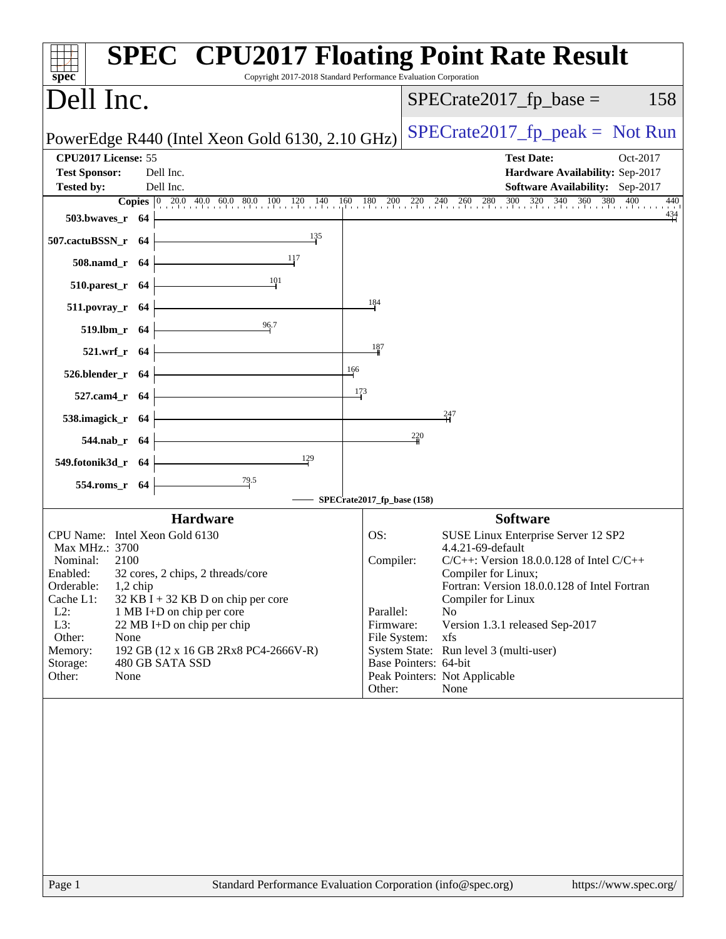| $spec^*$                                                                                   | Copyright 2017-2018 Standard Performance Evaluation Corporation | <b>SPEC<sup>®</sup> CPU2017 Floating Point Rate Result</b>                                                                                                                                            |
|--------------------------------------------------------------------------------------------|-----------------------------------------------------------------|-------------------------------------------------------------------------------------------------------------------------------------------------------------------------------------------------------|
| Dell Inc.                                                                                  |                                                                 | $SPECrate2017_fp\_base =$<br>158                                                                                                                                                                      |
| PowerEdge R440 (Intel Xeon Gold 6130, 2.10 GHz)                                            |                                                                 | $SPECrate2017_fp\_peak = Not Run$                                                                                                                                                                     |
| CPU2017 License: 55<br><b>Test Sponsor:</b><br>Dell Inc.<br>Dell Inc.<br><b>Tested by:</b> |                                                                 | <b>Test Date:</b><br>Oct-2017<br>Hardware Availability: Sep-2017<br>Software Availability: Sep-2017                                                                                                   |
| 503.bwaves_r 64                                                                            |                                                                 | <b>Copies</b> $\begin{bmatrix} 0 & 20.0 & 40.0 & 60.0 & 80.0 & 100 & 120 & 140 & 160 & 180 & 200 & 220 & 240 & 260 & 280 & 300 & 320 & 340 & 360 & 380 & 400 \end{bmatrix}$<br>440<br>$\frac{434}{4}$ |
| 507.cactuBSSN_r 64                                                                         | 135                                                             |                                                                                                                                                                                                       |
| 508.namd_r 64                                                                              | 117                                                             |                                                                                                                                                                                                       |
| $510.parest_r$ 64                                                                          | 101                                                             |                                                                                                                                                                                                       |
| 511.povray_r 64                                                                            | 184                                                             |                                                                                                                                                                                                       |
| 519.lbm_r 64                                                                               | 96.7                                                            |                                                                                                                                                                                                       |
| 521.wrf_r 64                                                                               | 187                                                             |                                                                                                                                                                                                       |
| 526.blender_r 64                                                                           | 166                                                             |                                                                                                                                                                                                       |
| 527.cam4_r 64                                                                              | 173                                                             |                                                                                                                                                                                                       |
| 538.imagick_r 64                                                                           |                                                                 | $\frac{247}{11}$                                                                                                                                                                                      |
| 544.nab_r 64                                                                               |                                                                 | 220                                                                                                                                                                                                   |
| 549.fotonik3d_r 64                                                                         | 129                                                             |                                                                                                                                                                                                       |
| $\frac{79.5}{4}$<br>554.roms_r 64                                                          |                                                                 |                                                                                                                                                                                                       |
|                                                                                            | SPECrate2017_fp_base (158)                                      |                                                                                                                                                                                                       |
| <b>Hardware</b>                                                                            |                                                                 | <b>Software</b>                                                                                                                                                                                       |
| CPU Name: Intel Xeon Gold 6130<br>Max MHz.: 3700                                           | OS:                                                             | SUSE Linux Enterprise Server 12 SP2<br>4.4.21-69-default                                                                                                                                              |
| Nominal:<br>2100                                                                           | Compiler:                                                       | $C/C++$ : Version 18.0.0.128 of Intel $C/C++$                                                                                                                                                         |
| Enabled:<br>32 cores, 2 chips, 2 threads/core<br>Orderable:<br>$1,2$ chip                  |                                                                 | Compiler for Linux;<br>Fortran: Version 18.0.0.128 of Intel Fortran                                                                                                                                   |
| Cache L1:<br>$32$ KB I + 32 KB D on chip per core                                          |                                                                 | Compiler for Linux                                                                                                                                                                                    |
| $L2$ :<br>1 MB I+D on chip per core                                                        | Parallel:                                                       | N <sub>0</sub>                                                                                                                                                                                        |
| L3:<br>22 MB I+D on chip per chip<br>Other:<br>None                                        | Firmware:<br>File System:                                       | Version 1.3.1 released Sep-2017<br>xfs                                                                                                                                                                |
| Memory:<br>192 GB (12 x 16 GB 2Rx8 PC4-2666V-R)                                            |                                                                 | System State: Run level 3 (multi-user)                                                                                                                                                                |
| Storage:<br>480 GB SATA SSD                                                                |                                                                 | Base Pointers: 64-bit                                                                                                                                                                                 |
| Other:<br>None                                                                             | Other:                                                          | Peak Pointers: Not Applicable<br>None                                                                                                                                                                 |
|                                                                                            |                                                                 |                                                                                                                                                                                                       |
|                                                                                            |                                                                 |                                                                                                                                                                                                       |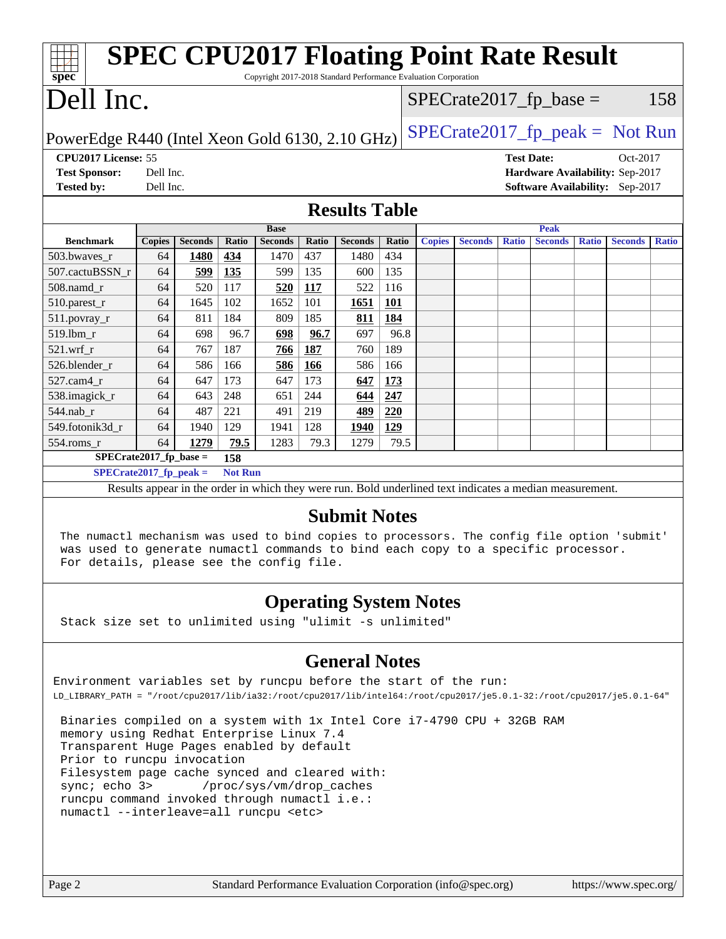| <b>SPEC CPU2017 Floating Point Rate Result</b><br>Copyright 2017-2018 Standard Performance Evaluation Corporation<br>Spec                                                                               |               |                |                |                |       |                      |                                  |               |                |                   |                |              |                                 |              |
|---------------------------------------------------------------------------------------------------------------------------------------------------------------------------------------------------------|---------------|----------------|----------------|----------------|-------|----------------------|----------------------------------|---------------|----------------|-------------------|----------------|--------------|---------------------------------|--------------|
| Dell Inc.                                                                                                                                                                                               |               |                |                |                |       |                      | $SPECrate2017_fp\_base =$<br>158 |               |                |                   |                |              |                                 |              |
| $SPECrate2017fr peak = Not Run$<br>PowerEdge R440 (Intel Xeon Gold 6130, 2.10 GHz)                                                                                                                      |               |                |                |                |       |                      |                                  |               |                |                   |                |              |                                 |              |
| CPU2017 License: 55                                                                                                                                                                                     |               |                |                |                |       |                      |                                  |               |                | <b>Test Date:</b> |                |              | Oct-2017                        |              |
| <b>Test Sponsor:</b>                                                                                                                                                                                    | Dell Inc.     |                |                |                |       |                      |                                  |               |                |                   |                |              | Hardware Availability: Sep-2017 |              |
| <b>Tested by:</b>                                                                                                                                                                                       | Dell Inc.     |                |                |                |       |                      |                                  |               |                |                   |                |              | Software Availability: Sep-2017 |              |
|                                                                                                                                                                                                         |               |                |                |                |       | <b>Results Table</b> |                                  |               |                |                   |                |              |                                 |              |
|                                                                                                                                                                                                         |               |                |                | <b>Base</b>    |       |                      |                                  |               |                |                   | <b>Peak</b>    |              |                                 |              |
| <b>Benchmark</b>                                                                                                                                                                                        | <b>Copies</b> | <b>Seconds</b> | Ratio          | <b>Seconds</b> | Ratio | <b>Seconds</b>       | Ratio                            | <b>Copies</b> | <b>Seconds</b> | <b>Ratio</b>      | <b>Seconds</b> | <b>Ratio</b> | <b>Seconds</b>                  | <b>Ratio</b> |
| 503.bwaves_r                                                                                                                                                                                            | 64            | <b>1480</b>    | 434            | 1470           | 437   | 1480                 | 434                              |               |                |                   |                |              |                                 |              |
| 507.cactuBSSN r                                                                                                                                                                                         | 64            | 599            | 135            | 599            | 135   | 600                  | 135                              |               |                |                   |                |              |                                 |              |
| $508$ .namd $r$                                                                                                                                                                                         | 64            | 520            | 117            | 520            | 117   | 522                  | 116                              |               |                |                   |                |              |                                 |              |
| 510.parest_r                                                                                                                                                                                            | 64            | 1645           | 102            | 1652           | 101   | 1651                 | <b>101</b>                       |               |                |                   |                |              |                                 |              |
| 511.povray_r                                                                                                                                                                                            | 64            | 811            | 184            | 809            | 185   | 811                  | 184                              |               |                |                   |                |              |                                 |              |
| 519.lbm_r                                                                                                                                                                                               | 64            | 698            | 96.7           | 698            | 96.7  | 697                  | 96.8                             |               |                |                   |                |              |                                 |              |
| 521.wrf r                                                                                                                                                                                               | 64            | 767            | 187            | 766            | 187   | 760                  | 189                              |               |                |                   |                |              |                                 |              |
| 526.blender_r                                                                                                                                                                                           | 64            | 586            | 166            | 586            | 166   | 586                  | 166                              |               |                |                   |                |              |                                 |              |
| 527.cam4 r                                                                                                                                                                                              | 64            | 647            | 173            | 647            | 173   | 647                  | 173                              |               |                |                   |                |              |                                 |              |
| 538.imagick_r                                                                                                                                                                                           | 64            | 643            | 248            | 651            | 244   | 644                  | 247                              |               |                |                   |                |              |                                 |              |
| 544.nab r                                                                                                                                                                                               | 64            | 487            | 221            | 491            | 219   | 489                  | 220                              |               |                |                   |                |              |                                 |              |
| 549.fotonik3d r                                                                                                                                                                                         | 64            | 1940           | 129            | 1941           | 128   | 1940                 | 129                              |               |                |                   |                |              |                                 |              |
| 554.roms_r                                                                                                                                                                                              | 64            | 1279           | 79.5           | 1283           | 79.3  | 1279                 | 79.5                             |               |                |                   |                |              |                                 |              |
| $SPECrate2017_fp\_base =$                                                                                                                                                                               |               |                | 158            |                |       |                      |                                  |               |                |                   |                |              |                                 |              |
| $SPECrate2017_fp\_peak =$                                                                                                                                                                               |               |                | <b>Not Run</b> |                |       |                      |                                  |               |                |                   |                |              |                                 |              |
| Results appear in the order in which they were run. Bold underlined text indicates a median measurement.                                                                                                |               |                |                |                |       |                      |                                  |               |                |                   |                |              |                                 |              |
| <b>Submit Notes</b><br>The numactl mechanism was used to bind copies to processors. The config file option 'submit'<br>was used to generate numactl commands to bind each copy to a specific processor. |               |                |                |                |       |                      |                                  |               |                |                   |                |              |                                 |              |
| For details, please see the config file.                                                                                                                                                                |               |                |                |                |       |                      |                                  |               |                |                   |                |              |                                 |              |

### **[Operating System Notes](http://www.spec.org/auto/cpu2017/Docs/result-fields.html#OperatingSystemNotes)**

Stack size set to unlimited using "ulimit -s unlimited"

## **[General Notes](http://www.spec.org/auto/cpu2017/Docs/result-fields.html#GeneralNotes)**

Environment variables set by runcpu before the start of the run: LD\_LIBRARY\_PATH = "/root/cpu2017/lib/ia32:/root/cpu2017/lib/intel64:/root/cpu2017/je5.0.1-32:/root/cpu2017/je5.0.1-64"

 Binaries compiled on a system with 1x Intel Core i7-4790 CPU + 32GB RAM memory using Redhat Enterprise Linux 7.4 Transparent Huge Pages enabled by default Prior to runcpu invocation Filesystem page cache synced and cleared with: sync; echo 3> /proc/sys/vm/drop\_caches runcpu command invoked through numactl i.e.: numactl --interleave=all runcpu <etc>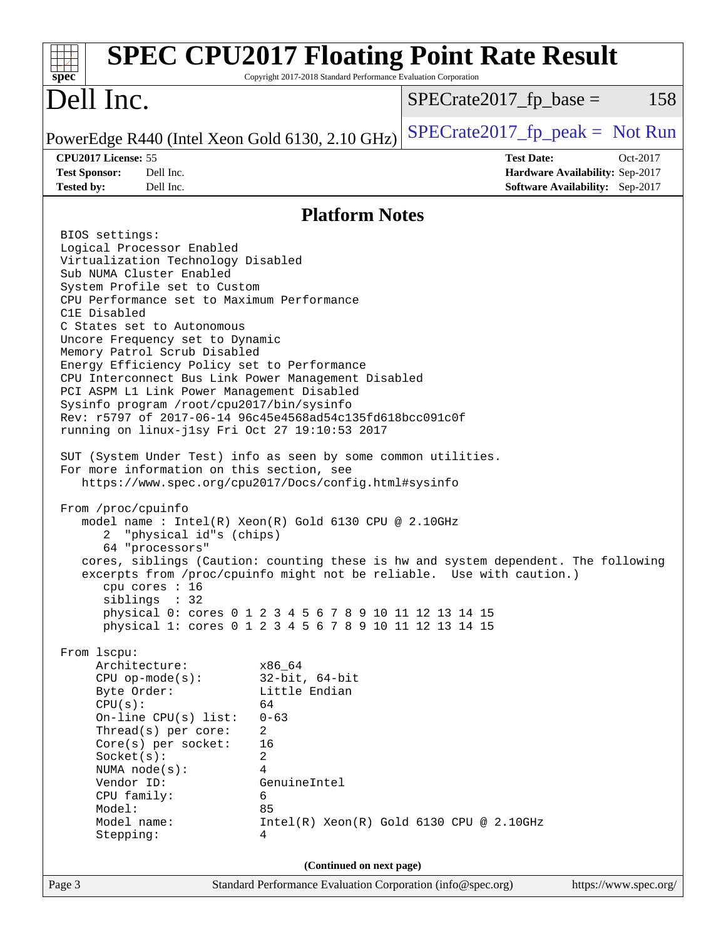| <b>SPEC CPU2017 Floating Point Rate Result</b><br>$spec^*$                                                                                                                                                                                                                                                                                                                                                                                                                                                                                                                                                                                                                                                                                                                                                                                                                                                                                                                                                                                                                                                                                                                                                                                                                                                                                                                                                                                                                                          | Copyright 2017-2018 Standard Performance Evaluation Corporation |                                                             |                                                                                |
|-----------------------------------------------------------------------------------------------------------------------------------------------------------------------------------------------------------------------------------------------------------------------------------------------------------------------------------------------------------------------------------------------------------------------------------------------------------------------------------------------------------------------------------------------------------------------------------------------------------------------------------------------------------------------------------------------------------------------------------------------------------------------------------------------------------------------------------------------------------------------------------------------------------------------------------------------------------------------------------------------------------------------------------------------------------------------------------------------------------------------------------------------------------------------------------------------------------------------------------------------------------------------------------------------------------------------------------------------------------------------------------------------------------------------------------------------------------------------------------------------------|-----------------------------------------------------------------|-------------------------------------------------------------|--------------------------------------------------------------------------------|
| Dell Inc.                                                                                                                                                                                                                                                                                                                                                                                                                                                                                                                                                                                                                                                                                                                                                                                                                                                                                                                                                                                                                                                                                                                                                                                                                                                                                                                                                                                                                                                                                           |                                                                 | $SPECrate2017fr base =$                                     | 158                                                                            |
| PowerEdge R440 (Intel Xeon Gold 6130, 2.10 GHz)                                                                                                                                                                                                                                                                                                                                                                                                                                                                                                                                                                                                                                                                                                                                                                                                                                                                                                                                                                                                                                                                                                                                                                                                                                                                                                                                                                                                                                                     |                                                                 | $SPECTate2017_fp\_peak = Not Run$                           |                                                                                |
| CPU2017 License: 55<br><b>Test Sponsor:</b><br>Dell Inc.<br><b>Tested by:</b><br>Dell Inc.                                                                                                                                                                                                                                                                                                                                                                                                                                                                                                                                                                                                                                                                                                                                                                                                                                                                                                                                                                                                                                                                                                                                                                                                                                                                                                                                                                                                          |                                                                 | <b>Test Date:</b>                                           | Oct-2017<br>Hardware Availability: Sep-2017<br>Software Availability: Sep-2017 |
|                                                                                                                                                                                                                                                                                                                                                                                                                                                                                                                                                                                                                                                                                                                                                                                                                                                                                                                                                                                                                                                                                                                                                                                                                                                                                                                                                                                                                                                                                                     | <b>Platform Notes</b>                                           |                                                             |                                                                                |
| BIOS settings:<br>Logical Processor Enabled<br>Virtualization Technology Disabled<br>Sub NUMA Cluster Enabled<br>System Profile set to Custom<br>CPU Performance set to Maximum Performance<br>C1E Disabled<br>C States set to Autonomous<br>Uncore Frequency set to Dynamic<br>Memory Patrol Scrub Disabled<br>Energy Efficiency Policy set to Performance<br>CPU Interconnect Bus Link Power Management Disabled<br>PCI ASPM L1 Link Power Management Disabled<br>Sysinfo program /root/cpu2017/bin/sysinfo<br>Rev: r5797 of 2017-06-14 96c45e4568ad54c135fd618bcc091c0f<br>running on linux-jlsy Fri Oct 27 19:10:53 2017<br>SUT (System Under Test) info as seen by some common utilities.<br>For more information on this section, see<br>https://www.spec.org/cpu2017/Docs/config.html#sysinfo<br>From /proc/cpuinfo<br>model name : Intel(R) Xeon(R) Gold 6130 CPU @ 2.10GHz<br>"physical id"s (chips)<br>2<br>64 "processors"<br>cores, siblings (Caution: counting these is hw and system dependent. The following<br>excerpts from /proc/cpuinfo might not be reliable. Use with caution.)<br>cpu cores : 16<br>siblings : 32<br>physical 0: cores 0 1 2 3 4 5 6 7 8 9 10 11 12 13 14 15<br>physical 1: cores 0 1 2 3 4 5 6 7 8 9 10 11 12 13 14 15<br>From 1scpu:<br>Architecture:<br>x86 64<br>$CPU$ op-mode $(s)$ :<br>Little Endian<br>Byte Order:<br>CPU(s):<br>64<br>On-line $CPU(s)$ list:<br>$0 - 63$<br>Thread(s) per core:<br>2<br>16<br>Core(s) per socket:<br>Socket(s):<br>2 | $32$ -bit, $64$ -bit                                            |                                                             |                                                                                |
| 4<br>NUMA $node(s):$<br>Vendor ID:<br>GenuineIntel<br>CPU family:<br>6<br>Model:<br>85<br>Model name:                                                                                                                                                                                                                                                                                                                                                                                                                                                                                                                                                                                                                                                                                                                                                                                                                                                                                                                                                                                                                                                                                                                                                                                                                                                                                                                                                                                               |                                                                 | Intel(R) Xeon(R) Gold 6130 CPU @ 2.10GHz                    |                                                                                |
| Stepping:<br>4<br>Page 3                                                                                                                                                                                                                                                                                                                                                                                                                                                                                                                                                                                                                                                                                                                                                                                                                                                                                                                                                                                                                                                                                                                                                                                                                                                                                                                                                                                                                                                                            | (Continued on next page)                                        | Standard Performance Evaluation Corporation (info@spec.org) | https://www.spec.org/                                                          |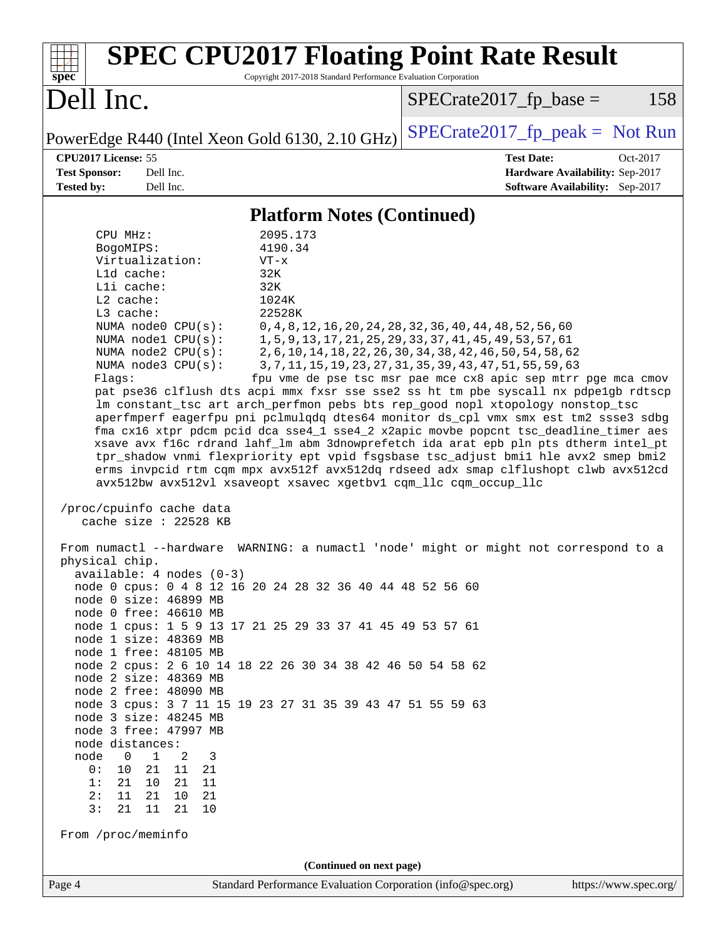| <b>SPEC CPU2017 Floating Point Rate Result</b><br>Copyright 2017-2018 Standard Performance Evaluation Corporation<br>$spec^*$                                                                                                                                                                                                                                                                                                                                                                                                                                                                                                                                                                                                                                                                                                                                                                                                                                                                                                                                                                                                                                                                                                                                                                                                                                                                                                                                                                                                                                                                                                                                                                                                                                                                                                                                                                                                                                                                                                                                                                                                  |                                                                                                     |  |  |  |  |  |
|--------------------------------------------------------------------------------------------------------------------------------------------------------------------------------------------------------------------------------------------------------------------------------------------------------------------------------------------------------------------------------------------------------------------------------------------------------------------------------------------------------------------------------------------------------------------------------------------------------------------------------------------------------------------------------------------------------------------------------------------------------------------------------------------------------------------------------------------------------------------------------------------------------------------------------------------------------------------------------------------------------------------------------------------------------------------------------------------------------------------------------------------------------------------------------------------------------------------------------------------------------------------------------------------------------------------------------------------------------------------------------------------------------------------------------------------------------------------------------------------------------------------------------------------------------------------------------------------------------------------------------------------------------------------------------------------------------------------------------------------------------------------------------------------------------------------------------------------------------------------------------------------------------------------------------------------------------------------------------------------------------------------------------------------------------------------------------------------------------------------------------|-----------------------------------------------------------------------------------------------------|--|--|--|--|--|
| Dell Inc.                                                                                                                                                                                                                                                                                                                                                                                                                                                                                                                                                                                                                                                                                                                                                                                                                                                                                                                                                                                                                                                                                                                                                                                                                                                                                                                                                                                                                                                                                                                                                                                                                                                                                                                                                                                                                                                                                                                                                                                                                                                                                                                      | $SPECrate2017fr base =$<br>158                                                                      |  |  |  |  |  |
| PowerEdge R440 (Intel Xeon Gold 6130, 2.10 GHz)                                                                                                                                                                                                                                                                                                                                                                                                                                                                                                                                                                                                                                                                                                                                                                                                                                                                                                                                                                                                                                                                                                                                                                                                                                                                                                                                                                                                                                                                                                                                                                                                                                                                                                                                                                                                                                                                                                                                                                                                                                                                                | $SPECrate2017_fp\_peak = Not Run$                                                                   |  |  |  |  |  |
| CPU2017 License: 55<br><b>Test Sponsor:</b><br>Dell Inc.<br><b>Tested by:</b><br>Dell Inc.                                                                                                                                                                                                                                                                                                                                                                                                                                                                                                                                                                                                                                                                                                                                                                                                                                                                                                                                                                                                                                                                                                                                                                                                                                                                                                                                                                                                                                                                                                                                                                                                                                                                                                                                                                                                                                                                                                                                                                                                                                     | <b>Test Date:</b><br>Oct-2017<br>Hardware Availability: Sep-2017<br>Software Availability: Sep-2017 |  |  |  |  |  |
| <b>Platform Notes (Continued)</b>                                                                                                                                                                                                                                                                                                                                                                                                                                                                                                                                                                                                                                                                                                                                                                                                                                                                                                                                                                                                                                                                                                                                                                                                                                                                                                                                                                                                                                                                                                                                                                                                                                                                                                                                                                                                                                                                                                                                                                                                                                                                                              |                                                                                                     |  |  |  |  |  |
| Virtualization:<br>$VT - x$<br>L1d cache:<br>32K<br>Lli cache:<br>32K<br>$L2$ cache:<br>1024K<br>22528K<br>L3 cache:<br>NUMA node0 CPU(s):<br>0, 4, 8, 12, 16, 20, 24, 28, 32, 36, 40, 44, 48, 52, 56, 60<br>NUMA nodel CPU(s):<br>1, 5, 9, 13, 17, 21, 25, 29, 33, 37, 41, 45, 49, 53, 57, 61<br>NUMA node2 CPU(s):<br>2, 6, 10, 14, 18, 22, 26, 30, 34, 38, 42, 46, 50, 54, 58, 62<br>NUMA node3 CPU(s):<br>3, 7, 11, 15, 19, 23, 27, 31, 35, 39, 43, 47, 51, 55, 59, 63<br>fpu vme de pse tsc msr pae mce cx8 apic sep mtrr pge mca cmov<br>Flags:<br>pat pse36 clflush dts acpi mmx fxsr sse sse2 ss ht tm pbe syscall nx pdpelgb rdtscp<br>lm constant_tsc art arch_perfmon pebs bts rep_good nopl xtopology nonstop_tsc<br>aperfmperf eagerfpu pni pclmulqdq dtes64 monitor ds_cpl vmx smx est tm2 ssse3 sdbg<br>fma cx16 xtpr pdcm pcid dca sse4_1 sse4_2 x2apic movbe popcnt tsc_deadline_timer aes<br>xsave avx f16c rdrand lahf_lm abm 3dnowprefetch ida arat epb pln pts dtherm intel_pt<br>tpr_shadow vnmi flexpriority ept vpid fsgsbase tsc_adjust bmil hle avx2 smep bmi2<br>erms invpcid rtm cqm mpx avx512f avx512dq rdseed adx smap clflushopt clwb avx512cd<br>avx512bw avx512vl xsaveopt xsavec xgetbvl cqm_llc cqm_occup_llc<br>/proc/cpuinfo cache data<br>cache size : 22528 KB<br>From numactl --hardware WARNING: a numactl 'node' might or might not correspond to a<br>physical chip.<br>$available: 4 nodes (0-3)$<br>node 0 cpus: 0 4 8 12 16 20 24 28 32 36 40 44 48 52 56 60<br>node 0 size: 46899 MB<br>node 0 free: 46610 MB<br>node 1 cpus: 1 5 9 13 17 21 25 29 33 37 41 45 49 53 57 61<br>node 1 size: 48369 MB<br>node 1 free: 48105 MB<br>node 2 cpus: 2 6 10 14 18 22 26 30 34 38 42 46 50 54 58 62<br>node 2 size: 48369 MB<br>node 2 free: 48090 MB<br>node 3 cpus: 3 7 11 15 19 23 27 31 35 39 43 47 51 55 59 63<br>node 3 size: 48245 MB<br>node 3 free: 47997 MB<br>node distances:<br>node<br>$\overline{0}$<br>$\mathbf 1$<br>2<br>3<br>21<br>0 :<br>10<br>11<br>21<br>10 21<br>1:<br>21<br>11<br>2:<br>11<br>21<br>10<br>21<br>3:<br>11<br>21<br>21<br>10<br>From /proc/meminfo |                                                                                                     |  |  |  |  |  |
| Standard Performance Evaluation Corporation (info@spec.org)<br>Page 4                                                                                                                                                                                                                                                                                                                                                                                                                                                                                                                                                                                                                                                                                                                                                                                                                                                                                                                                                                                                                                                                                                                                                                                                                                                                                                                                                                                                                                                                                                                                                                                                                                                                                                                                                                                                                                                                                                                                                                                                                                                          | https://www.spec.org/                                                                               |  |  |  |  |  |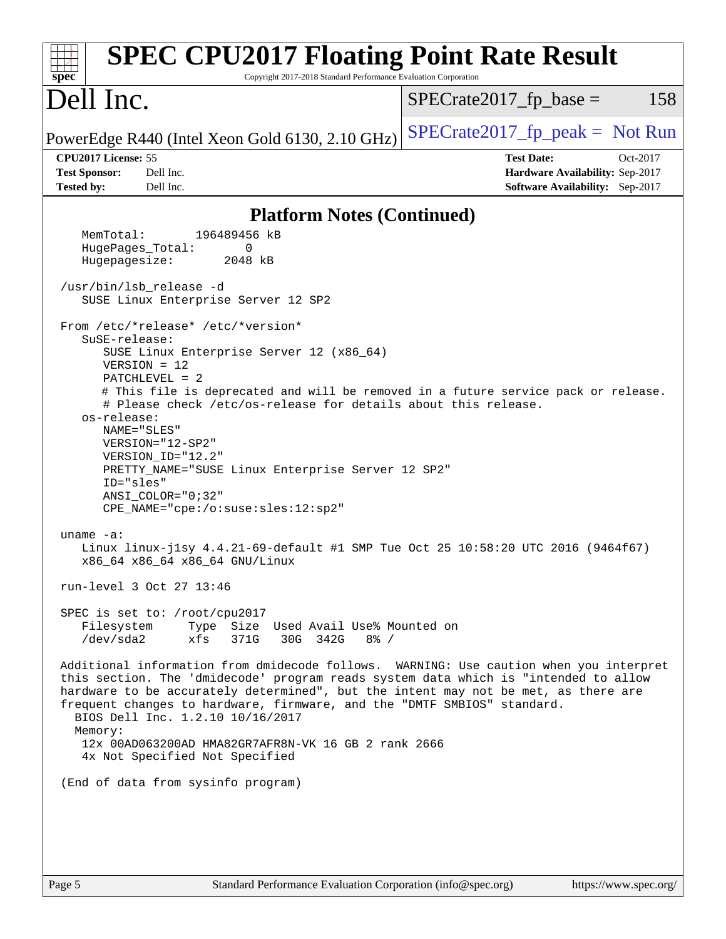| <b>SPEC CPU2017 Floating Point Rate Result</b><br>Copyright 2017-2018 Standard Performance Evaluation Corporation<br>$spec^*$                                                                                                                                                                                                                                                                 |                                                                                                     |
|-----------------------------------------------------------------------------------------------------------------------------------------------------------------------------------------------------------------------------------------------------------------------------------------------------------------------------------------------------------------------------------------------|-----------------------------------------------------------------------------------------------------|
| Dell Inc.                                                                                                                                                                                                                                                                                                                                                                                     | 158<br>$SPECrate2017fr base =$                                                                      |
| PowerEdge R440 (Intel Xeon Gold 6130, 2.10 GHz)                                                                                                                                                                                                                                                                                                                                               | $SPECrate2017_fp\_peak = Not Run$                                                                   |
| CPU2017 License: 55<br><b>Test Sponsor:</b><br>Dell Inc.<br>Dell Inc.                                                                                                                                                                                                                                                                                                                         | <b>Test Date:</b><br>Oct-2017<br>Hardware Availability: Sep-2017<br>Software Availability: Sep-2017 |
| <b>Tested by:</b>                                                                                                                                                                                                                                                                                                                                                                             |                                                                                                     |
| <b>Platform Notes (Continued)</b><br>MemTotal:<br>196489456 kB                                                                                                                                                                                                                                                                                                                                |                                                                                                     |
| HugePages_Total:<br>0                                                                                                                                                                                                                                                                                                                                                                         |                                                                                                     |
| Hugepagesize:<br>2048 kB                                                                                                                                                                                                                                                                                                                                                                      |                                                                                                     |
| /usr/bin/lsb_release -d<br>SUSE Linux Enterprise Server 12 SP2                                                                                                                                                                                                                                                                                                                                |                                                                                                     |
| From /etc/*release* /etc/*version*                                                                                                                                                                                                                                                                                                                                                            |                                                                                                     |
| SuSE-release:<br>SUSE Linux Enterprise Server 12 (x86_64)                                                                                                                                                                                                                                                                                                                                     |                                                                                                     |
| $VERSION = 12$                                                                                                                                                                                                                                                                                                                                                                                |                                                                                                     |
| $PATCHLEVEL = 2$                                                                                                                                                                                                                                                                                                                                                                              |                                                                                                     |
| # This file is deprecated and will be removed in a future service pack or release.<br># Please check /etc/os-release for details about this release.                                                                                                                                                                                                                                          |                                                                                                     |
| os-release:                                                                                                                                                                                                                                                                                                                                                                                   |                                                                                                     |
| NAME="SLES"<br>VERSION="12-SP2"                                                                                                                                                                                                                                                                                                                                                               |                                                                                                     |
| VERSION_ID="12.2"                                                                                                                                                                                                                                                                                                                                                                             |                                                                                                     |
| PRETTY_NAME="SUSE Linux Enterprise Server 12 SP2"                                                                                                                                                                                                                                                                                                                                             |                                                                                                     |
| ID="sles"<br>$ANSI\_COLOR = "0;32"$                                                                                                                                                                                                                                                                                                                                                           |                                                                                                     |
| CPE_NAME="cpe:/o:suse:sles:12:sp2"                                                                                                                                                                                                                                                                                                                                                            |                                                                                                     |
|                                                                                                                                                                                                                                                                                                                                                                                               |                                                                                                     |
| uname $-a$ :<br>Linux linux-j1sy 4.4.21-69-default #1 SMP Tue Oct 25 10:58:20 UTC 2016 (9464f67)<br>x86_64 x86_64 x86_64 GNU/Linux                                                                                                                                                                                                                                                            |                                                                                                     |
| run-level 3 Oct 27 13:46                                                                                                                                                                                                                                                                                                                                                                      |                                                                                                     |
| SPEC is set to: /root/cpu2017                                                                                                                                                                                                                                                                                                                                                                 |                                                                                                     |
| Filesystem<br>Type Size Used Avail Use% Mounted on<br>$/\text{dev/sda2}$<br>30G 342G<br>$8\frac{6}{6}$ /<br>xfs<br>371G                                                                                                                                                                                                                                                                       |                                                                                                     |
| Additional information from dmidecode follows. WARNING: Use caution when you interpret<br>this section. The 'dmidecode' program reads system data which is "intended to allow<br>hardware to be accurately determined", but the intent may not be met, as there are<br>frequent changes to hardware, firmware, and the "DMTF SMBIOS" standard.<br>BIOS Dell Inc. 1.2.10 10/16/2017<br>Memory: |                                                                                                     |
| 12x 00AD063200AD HMA82GR7AFR8N-VK 16 GB 2 rank 2666<br>4x Not Specified Not Specified                                                                                                                                                                                                                                                                                                         |                                                                                                     |
| (End of data from sysinfo program)                                                                                                                                                                                                                                                                                                                                                            |                                                                                                     |
|                                                                                                                                                                                                                                                                                                                                                                                               |                                                                                                     |
|                                                                                                                                                                                                                                                                                                                                                                                               |                                                                                                     |
|                                                                                                                                                                                                                                                                                                                                                                                               |                                                                                                     |
|                                                                                                                                                                                                                                                                                                                                                                                               |                                                                                                     |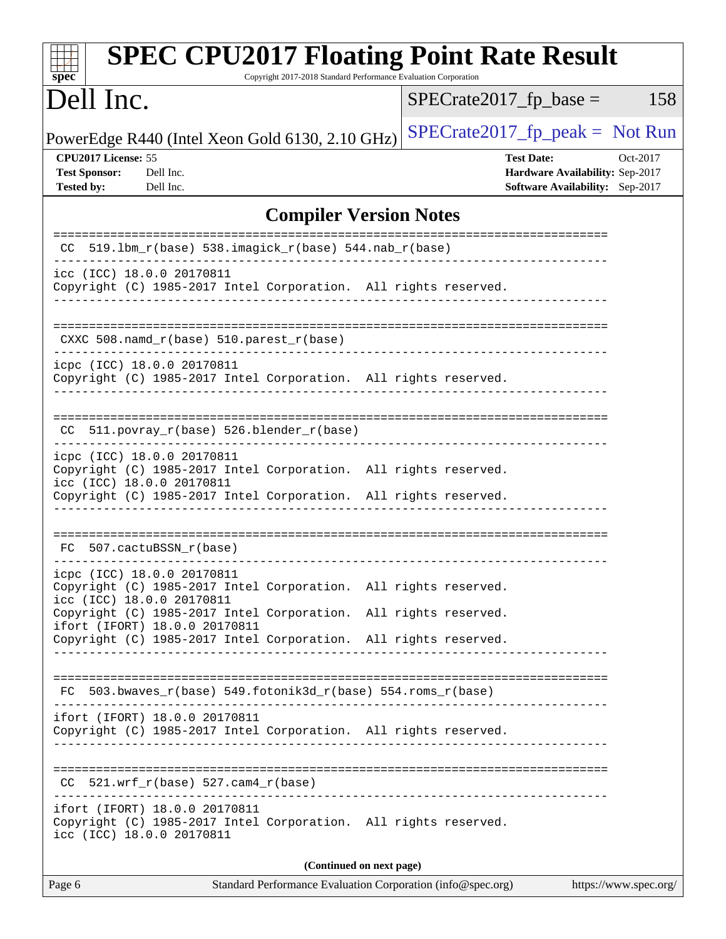| <b>SPEC CPU2017 Floating Point Rate Result</b><br>Copyright 2017-2018 Standard Performance Evaluation Corporation<br>spec <sup>®</sup>                                                        |                                                                                                     |
|-----------------------------------------------------------------------------------------------------------------------------------------------------------------------------------------------|-----------------------------------------------------------------------------------------------------|
| Dell Inc.                                                                                                                                                                                     | $SPECrate2017fr base =$<br>158                                                                      |
| PowerEdge R440 (Intel Xeon Gold 6130, 2.10 GHz)                                                                                                                                               | $SPECrate2017_fp\_peak = Not Run$                                                                   |
| CPU2017 License: 55<br><b>Test Sponsor:</b><br>Dell Inc.<br><b>Tested by:</b><br>Dell Inc.                                                                                                    | <b>Test Date:</b><br>Oct-2017<br>Hardware Availability: Sep-2017<br>Software Availability: Sep-2017 |
| <b>Compiler Version Notes</b>                                                                                                                                                                 |                                                                                                     |
| 519.1bm_r(base) 538.imagick_r(base) 544.nab_r(base)<br>CC.                                                                                                                                    | ========================                                                                            |
| icc (ICC) 18.0.0 20170811<br>Copyright (C) 1985-2017 Intel Corporation. All rights reserved.                                                                                                  |                                                                                                     |
| $CXXC 508.namd_r(base) 510.parest_r(base)$                                                                                                                                                    |                                                                                                     |
| icpc (ICC) 18.0.0 20170811<br>Copyright (C) 1985-2017 Intel Corporation. All rights reserved.                                                                                                 |                                                                                                     |
| 511.povray_r(base) 526.blender_r(base)<br>CC.                                                                                                                                                 |                                                                                                     |
| icpc (ICC) 18.0.0 20170811<br>Copyright (C) 1985-2017 Intel Corporation. All rights reserved.<br>icc (ICC) 18.0.0 20170811<br>Copyright (C) 1985-2017 Intel Corporation. All rights reserved. |                                                                                                     |
| FC 507.cactuBSSN_r(base)                                                                                                                                                                      |                                                                                                     |
| icpc (ICC) 18.0.0 20170811<br>Copyright (C) 1985-2017 Intel Corporation. All rights reserved.<br>icc (ICC) 18.0.0 20170811                                                                    |                                                                                                     |
| Copyright (C) 1985-2017 Intel Corporation.<br>ifort (IFORT) 18.0.0 20170811<br>Copyright (C) 1985-2017 Intel Corporation. All rights reserved.                                                | All rights reserved.                                                                                |
| FC 503.bwaves_r(base) 549.fotonik3d_r(base) 554.roms_r(base)                                                                                                                                  |                                                                                                     |
| ifort (IFORT) 18.0.0 20170811<br>Copyright (C) 1985-2017 Intel Corporation. All rights reserved.                                                                                              |                                                                                                     |
| $CC$ 521.wrf_r(base) 527.cam4_r(base)                                                                                                                                                         |                                                                                                     |
| ifort (IFORT) 18.0.0 20170811<br>Copyright (C) 1985-2017 Intel Corporation. All rights reserved.<br>icc (ICC) 18.0.0 20170811                                                                 |                                                                                                     |
| (Continued on next page)                                                                                                                                                                      |                                                                                                     |
| Page 6<br>Standard Performance Evaluation Corporation (info@spec.org)                                                                                                                         | https://www.spec.org/                                                                               |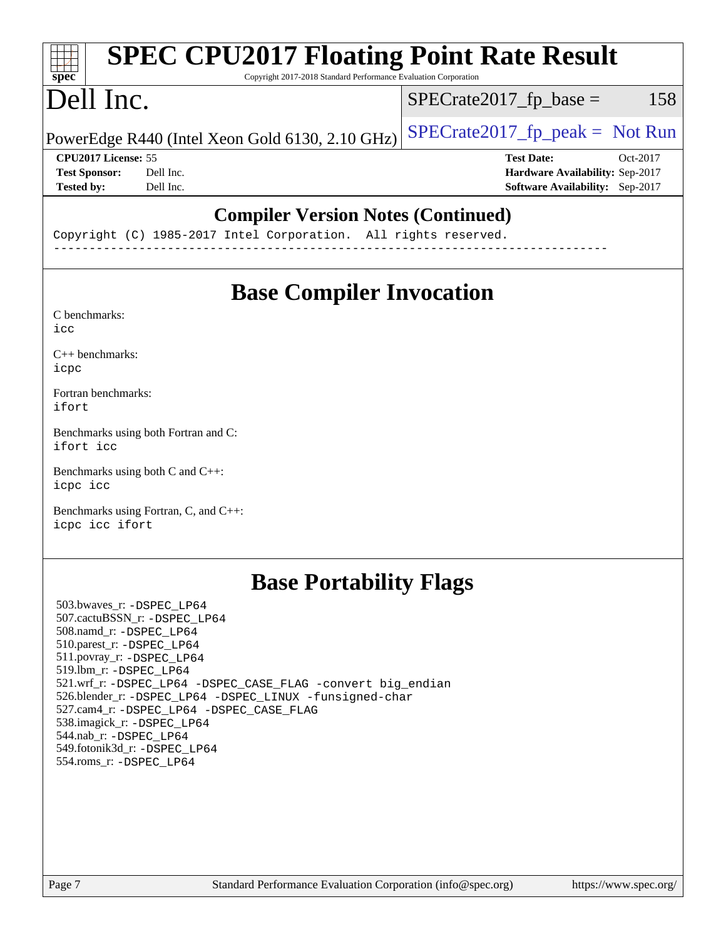#### **[SPEC CPU2017 Floating Point Rate Result](http://www.spec.org/auto/cpu2017/Docs/result-fields.html#SPECCPU2017FloatingPointRateResult)** H F **[spec](http://www.spec.org/)** Copyright 2017-2018 Standard Performance Evaluation Corporation Dell Inc.  $SPECTate2017<sub>fr</sub> base = 158$ PowerEdge R440 (Intel Xeon Gold 6130, 2.10 GHz)  $\left|$  [SPECrate2017\\_fp\\_peak =](http://www.spec.org/auto/cpu2017/Docs/result-fields.html#SPECrate2017fppeak) Not Run **[CPU2017 License:](http://www.spec.org/auto/cpu2017/Docs/result-fields.html#CPU2017License)** 55 **[Test Date:](http://www.spec.org/auto/cpu2017/Docs/result-fields.html#TestDate)** Oct-2017 **[Test Sponsor:](http://www.spec.org/auto/cpu2017/Docs/result-fields.html#TestSponsor)** Dell Inc. **[Hardware Availability:](http://www.spec.org/auto/cpu2017/Docs/result-fields.html#HardwareAvailability)** Sep-2017 **[Tested by:](http://www.spec.org/auto/cpu2017/Docs/result-fields.html#Testedby)** Dell Inc. **[Software Availability:](http://www.spec.org/auto/cpu2017/Docs/result-fields.html#SoftwareAvailability)** Sep-2017 **[Compiler Version Notes \(Continued\)](http://www.spec.org/auto/cpu2017/Docs/result-fields.html#CompilerVersionNotes)**

Copyright (C) 1985-2017 Intel Corporation. All rights reserved. ------------------------------------------------------------------------------

# **[Base Compiler Invocation](http://www.spec.org/auto/cpu2017/Docs/result-fields.html#BaseCompilerInvocation)**

[C benchmarks](http://www.spec.org/auto/cpu2017/Docs/result-fields.html#Cbenchmarks): [icc](http://www.spec.org/cpu2017/results/res2017q4/cpu2017-20171127-00964.flags.html#user_CCbase_intel_icc_18.0_66fc1ee009f7361af1fbd72ca7dcefbb700085f36577c54f309893dd4ec40d12360134090235512931783d35fd58c0460139e722d5067c5574d8eaf2b3e37e92)

[C++ benchmarks:](http://www.spec.org/auto/cpu2017/Docs/result-fields.html#CXXbenchmarks) [icpc](http://www.spec.org/cpu2017/results/res2017q4/cpu2017-20171127-00964.flags.html#user_CXXbase_intel_icpc_18.0_c510b6838c7f56d33e37e94d029a35b4a7bccf4766a728ee175e80a419847e808290a9b78be685c44ab727ea267ec2f070ec5dc83b407c0218cded6866a35d07)

[Fortran benchmarks](http://www.spec.org/auto/cpu2017/Docs/result-fields.html#Fortranbenchmarks): [ifort](http://www.spec.org/cpu2017/results/res2017q4/cpu2017-20171127-00964.flags.html#user_FCbase_intel_ifort_18.0_8111460550e3ca792625aed983ce982f94888b8b503583aa7ba2b8303487b4d8a21a13e7191a45c5fd58ff318f48f9492884d4413fa793fd88dd292cad7027ca)

[Benchmarks using both Fortran and C](http://www.spec.org/auto/cpu2017/Docs/result-fields.html#BenchmarksusingbothFortranandC): [ifort](http://www.spec.org/cpu2017/results/res2017q4/cpu2017-20171127-00964.flags.html#user_CC_FCbase_intel_ifort_18.0_8111460550e3ca792625aed983ce982f94888b8b503583aa7ba2b8303487b4d8a21a13e7191a45c5fd58ff318f48f9492884d4413fa793fd88dd292cad7027ca) [icc](http://www.spec.org/cpu2017/results/res2017q4/cpu2017-20171127-00964.flags.html#user_CC_FCbase_intel_icc_18.0_66fc1ee009f7361af1fbd72ca7dcefbb700085f36577c54f309893dd4ec40d12360134090235512931783d35fd58c0460139e722d5067c5574d8eaf2b3e37e92)

[Benchmarks using both C and C++](http://www.spec.org/auto/cpu2017/Docs/result-fields.html#BenchmarksusingbothCandCXX): [icpc](http://www.spec.org/cpu2017/results/res2017q4/cpu2017-20171127-00964.flags.html#user_CC_CXXbase_intel_icpc_18.0_c510b6838c7f56d33e37e94d029a35b4a7bccf4766a728ee175e80a419847e808290a9b78be685c44ab727ea267ec2f070ec5dc83b407c0218cded6866a35d07) [icc](http://www.spec.org/cpu2017/results/res2017q4/cpu2017-20171127-00964.flags.html#user_CC_CXXbase_intel_icc_18.0_66fc1ee009f7361af1fbd72ca7dcefbb700085f36577c54f309893dd4ec40d12360134090235512931783d35fd58c0460139e722d5067c5574d8eaf2b3e37e92)

[Benchmarks using Fortran, C, and C++:](http://www.spec.org/auto/cpu2017/Docs/result-fields.html#BenchmarksusingFortranCandCXX) [icpc](http://www.spec.org/cpu2017/results/res2017q4/cpu2017-20171127-00964.flags.html#user_CC_CXX_FCbase_intel_icpc_18.0_c510b6838c7f56d33e37e94d029a35b4a7bccf4766a728ee175e80a419847e808290a9b78be685c44ab727ea267ec2f070ec5dc83b407c0218cded6866a35d07) [icc](http://www.spec.org/cpu2017/results/res2017q4/cpu2017-20171127-00964.flags.html#user_CC_CXX_FCbase_intel_icc_18.0_66fc1ee009f7361af1fbd72ca7dcefbb700085f36577c54f309893dd4ec40d12360134090235512931783d35fd58c0460139e722d5067c5574d8eaf2b3e37e92) [ifort](http://www.spec.org/cpu2017/results/res2017q4/cpu2017-20171127-00964.flags.html#user_CC_CXX_FCbase_intel_ifort_18.0_8111460550e3ca792625aed983ce982f94888b8b503583aa7ba2b8303487b4d8a21a13e7191a45c5fd58ff318f48f9492884d4413fa793fd88dd292cad7027ca)

## **[Base Portability Flags](http://www.spec.org/auto/cpu2017/Docs/result-fields.html#BasePortabilityFlags)**

 503.bwaves\_r: [-DSPEC\\_LP64](http://www.spec.org/cpu2017/results/res2017q4/cpu2017-20171127-00964.flags.html#suite_basePORTABILITY503_bwaves_r_DSPEC_LP64) 507.cactuBSSN\_r: [-DSPEC\\_LP64](http://www.spec.org/cpu2017/results/res2017q4/cpu2017-20171127-00964.flags.html#suite_basePORTABILITY507_cactuBSSN_r_DSPEC_LP64) 508.namd\_r: [-DSPEC\\_LP64](http://www.spec.org/cpu2017/results/res2017q4/cpu2017-20171127-00964.flags.html#suite_basePORTABILITY508_namd_r_DSPEC_LP64) 510.parest\_r: [-DSPEC\\_LP64](http://www.spec.org/cpu2017/results/res2017q4/cpu2017-20171127-00964.flags.html#suite_basePORTABILITY510_parest_r_DSPEC_LP64) 511.povray\_r: [-DSPEC\\_LP64](http://www.spec.org/cpu2017/results/res2017q4/cpu2017-20171127-00964.flags.html#suite_basePORTABILITY511_povray_r_DSPEC_LP64) 519.lbm\_r: [-DSPEC\\_LP64](http://www.spec.org/cpu2017/results/res2017q4/cpu2017-20171127-00964.flags.html#suite_basePORTABILITY519_lbm_r_DSPEC_LP64) 521.wrf\_r: [-DSPEC\\_LP64](http://www.spec.org/cpu2017/results/res2017q4/cpu2017-20171127-00964.flags.html#suite_basePORTABILITY521_wrf_r_DSPEC_LP64) [-DSPEC\\_CASE\\_FLAG](http://www.spec.org/cpu2017/results/res2017q4/cpu2017-20171127-00964.flags.html#b521.wrf_r_baseCPORTABILITY_DSPEC_CASE_FLAG) [-convert big\\_endian](http://www.spec.org/cpu2017/results/res2017q4/cpu2017-20171127-00964.flags.html#user_baseFPORTABILITY521_wrf_r_convert_big_endian_c3194028bc08c63ac5d04de18c48ce6d347e4e562e8892b8bdbdc0214820426deb8554edfa529a3fb25a586e65a3d812c835984020483e7e73212c4d31a38223) 526.blender\_r: [-DSPEC\\_LP64](http://www.spec.org/cpu2017/results/res2017q4/cpu2017-20171127-00964.flags.html#suite_basePORTABILITY526_blender_r_DSPEC_LP64) [-DSPEC\\_LINUX](http://www.spec.org/cpu2017/results/res2017q4/cpu2017-20171127-00964.flags.html#b526.blender_r_baseCPORTABILITY_DSPEC_LINUX) [-funsigned-char](http://www.spec.org/cpu2017/results/res2017q4/cpu2017-20171127-00964.flags.html#user_baseCPORTABILITY526_blender_r_force_uchar_40c60f00ab013830e2dd6774aeded3ff59883ba5a1fc5fc14077f794d777847726e2a5858cbc7672e36e1b067e7e5c1d9a74f7176df07886a243d7cc18edfe67) 527.cam4\_r: [-DSPEC\\_LP64](http://www.spec.org/cpu2017/results/res2017q4/cpu2017-20171127-00964.flags.html#suite_basePORTABILITY527_cam4_r_DSPEC_LP64) [-DSPEC\\_CASE\\_FLAG](http://www.spec.org/cpu2017/results/res2017q4/cpu2017-20171127-00964.flags.html#b527.cam4_r_baseCPORTABILITY_DSPEC_CASE_FLAG) 538.imagick\_r: [-DSPEC\\_LP64](http://www.spec.org/cpu2017/results/res2017q4/cpu2017-20171127-00964.flags.html#suite_basePORTABILITY538_imagick_r_DSPEC_LP64) 544.nab\_r: [-DSPEC\\_LP64](http://www.spec.org/cpu2017/results/res2017q4/cpu2017-20171127-00964.flags.html#suite_basePORTABILITY544_nab_r_DSPEC_LP64) 549.fotonik3d\_r: [-DSPEC\\_LP64](http://www.spec.org/cpu2017/results/res2017q4/cpu2017-20171127-00964.flags.html#suite_basePORTABILITY549_fotonik3d_r_DSPEC_LP64) 554.roms\_r: [-DSPEC\\_LP64](http://www.spec.org/cpu2017/results/res2017q4/cpu2017-20171127-00964.flags.html#suite_basePORTABILITY554_roms_r_DSPEC_LP64)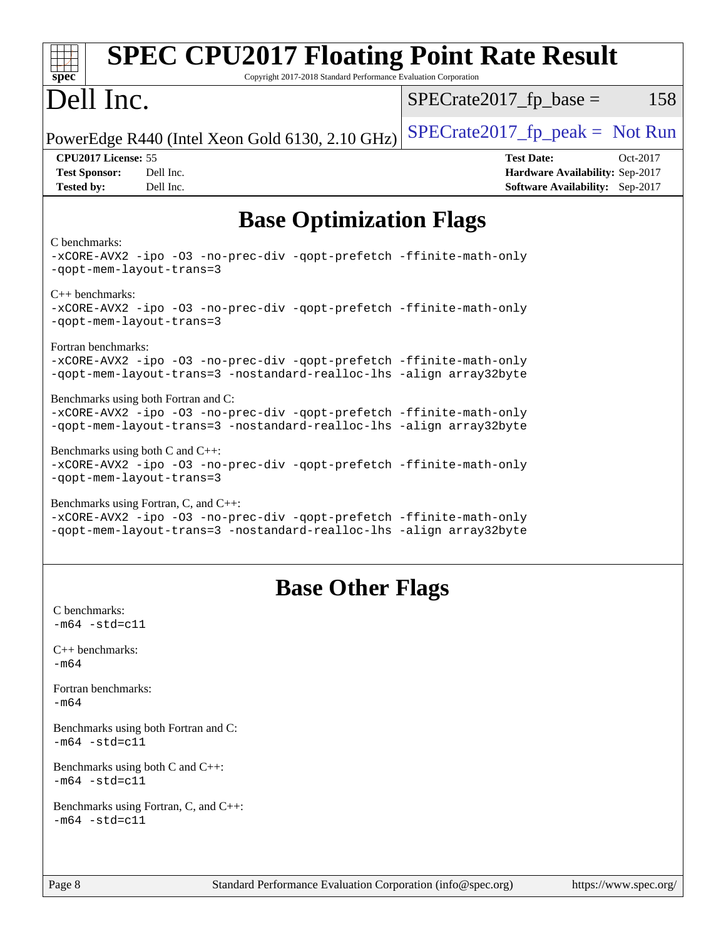| <b>SPEC CPU2017 Floating Point Rate Result</b><br>Copyright 2017-2018 Standard Performance Evaluation Corporation<br>spec <sup>®</sup>                                              |                                                                                                            |
|-------------------------------------------------------------------------------------------------------------------------------------------------------------------------------------|------------------------------------------------------------------------------------------------------------|
| Dell Inc.                                                                                                                                                                           | $SPECrate2017fr base =$<br>158                                                                             |
| PowerEdge R440 (Intel Xeon Gold 6130, 2.10 GHz)                                                                                                                                     | $SPECrate2017_fp_peak = Not Run$                                                                           |
| CPU2017 License: 55<br><b>Test Sponsor:</b><br>Dell Inc.<br>Dell Inc.<br><b>Tested by:</b>                                                                                          | <b>Test Date:</b><br>Oct-2017<br>Hardware Availability: Sep-2017<br><b>Software Availability:</b> Sep-2017 |
| <b>Base Optimization Flags</b>                                                                                                                                                      |                                                                                                            |
| C benchmarks:<br>-xCORE-AVX2 -ipo -03 -no-prec-div -qopt-prefetch -ffinite-math-only<br>-qopt-mem-layout-trans=3                                                                    |                                                                                                            |
| $C_{++}$ benchmarks:<br>-xCORE-AVX2 -ipo -03 -no-prec-div -qopt-prefetch -ffinite-math-only<br>-gopt-mem-layout-trans=3                                                             |                                                                                                            |
| Fortran benchmarks:<br>-xCORE-AVX2 -ipo -03 -no-prec-div -qopt-prefetch -ffinite-math-only<br>-qopt-mem-layout-trans=3 -nostandard-realloc-lhs -align array32byte                   |                                                                                                            |
| Benchmarks using both Fortran and C:<br>-xCORE-AVX2 -ipo -03 -no-prec-div -qopt-prefetch -ffinite-math-only<br>-qopt-mem-layout-trans=3 -nostandard-realloc-lhs -align array32byte  |                                                                                                            |
| Benchmarks using both $C$ and $C_{++}$ :<br>-xCORE-AVX2 -ipo -03 -no-prec-div -qopt-prefetch -ffinite-math-only<br>-qopt-mem-layout-trans=3                                         |                                                                                                            |
| Benchmarks using Fortran, C, and C++:<br>-xCORE-AVX2 -ipo -03 -no-prec-div -qopt-prefetch -ffinite-math-only<br>-qopt-mem-layout-trans=3 -nostandard-realloc-lhs -align array32byte |                                                                                                            |
| <b>Base Other Flags</b>                                                                                                                                                             |                                                                                                            |
| C benchmarks:<br>$-m64 - std= c11$                                                                                                                                                  |                                                                                                            |
| $C++$ benchmarks:<br>$-m64$                                                                                                                                                         |                                                                                                            |
| Fortran benchmarks:<br>$-m64$                                                                                                                                                       |                                                                                                            |
| Benchmarks using both Fortran and C:<br>$-m64 - std= c11$                                                                                                                           |                                                                                                            |
| Benchmarks using both $C$ and $C_{++}$ :<br>$-m64 - std= c11$                                                                                                                       |                                                                                                            |
| Benchmarks using Fortran, C, and C++:<br>$-m64 - std = c11$                                                                                                                         |                                                                                                            |
| Standard Performance Evaluation Corporation (info@spec.org)<br>Page 8                                                                                                               | https://www.spec.org/                                                                                      |